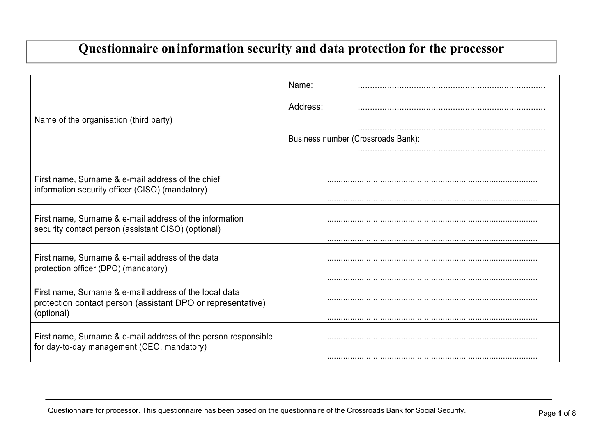## **Questionnaire oninformation security and data protection for the processor**

|                                                                                                                                     | Name:                              |
|-------------------------------------------------------------------------------------------------------------------------------------|------------------------------------|
| Name of the organisation (third party)                                                                                              | Address:                           |
|                                                                                                                                     | Business number (Crossroads Bank): |
| First name, Surname & e-mail address of the chief<br>information security officer (CISO) (mandatory)                                |                                    |
| First name, Surname & e-mail address of the information<br>security contact person (assistant CISO) (optional)                      |                                    |
| First name, Surname & e-mail address of the data<br>protection officer (DPO) (mandatory)                                            |                                    |
| First name, Surname & e-mail address of the local data<br>protection contact person (assistant DPO or representative)<br>(optional) |                                    |
| First name, Surname & e-mail address of the person responsible<br>for day-to-day management (CEO, mandatory)                        |                                    |
|                                                                                                                                     |                                    |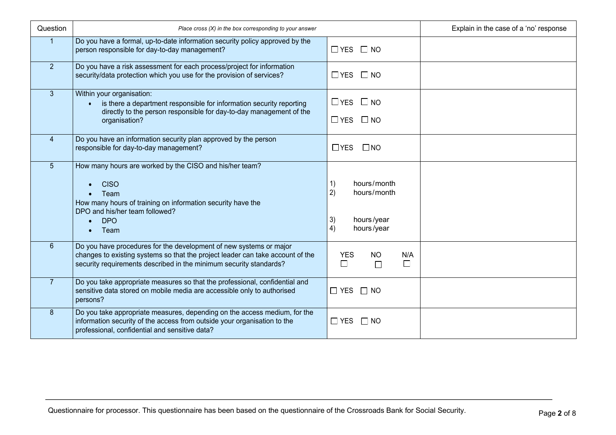| Question       | Place cross (X) in the box corresponding to your answer                                                                                                                                                                    |                                                                                | Explain in the case of a 'no' response |
|----------------|----------------------------------------------------------------------------------------------------------------------------------------------------------------------------------------------------------------------------|--------------------------------------------------------------------------------|----------------------------------------|
|                | Do you have a formal, up-to-date information security policy approved by the<br>person responsible for day-to-day management?                                                                                              | $\Box$ YES $\Box$ NO                                                           |                                        |
| 2 <sup>1</sup> | Do you have a risk assessment for each process/project for information<br>security/data protection which you use for the provision of services?                                                                            | $\Box$ YES $\Box$ NO                                                           |                                        |
| 3 <sup>1</sup> | Within your organisation:<br>is there a department responsible for information security reporting<br>$\bullet$<br>directly to the person responsible for day-to-day management of the<br>organisation?                     | $\Box$ YES $\Box$ NO<br>$\Box$ YES $\Box$ NO                                   |                                        |
| $\overline{4}$ | Do you have an information security plan approved by the person<br>responsible for day-to-day management?                                                                                                                  | $\Box$ YES<br>$\square$ NO                                                     |                                        |
| 5 <sup>5</sup> | How many hours are worked by the CISO and his/her team?<br><b>CISO</b><br>Team<br>How many hours of training on information security have the<br>DPO and his/her team followed?<br><b>DPO</b><br>Team                      | hours/month<br>1)<br>2)<br>hours/month<br>3)<br>hours/year<br>hours/year<br>4) |                                        |
| $6\phantom{1}$ | Do you have procedures for the development of new systems or major<br>changes to existing systems so that the project leader can take account of the<br>security requirements described in the minimum security standards? | <b>YES</b><br>NO.<br>N/A<br>$\Box$<br>$\Box$<br>$\Box$                         |                                        |
| 7 <sup>1</sup> | Do you take appropriate measures so that the professional, confidential and<br>sensitive data stored on mobile media are accessible only to authorised<br>persons?                                                         | $\Box$ YES $\Box$ NO                                                           |                                        |
| 8              | Do you take appropriate measures, depending on the access medium, for the<br>information security of the access from outside your organisation to the<br>professional, confidential and sensitive data?                    | $\Box$ YES<br>$\Box$ NO                                                        |                                        |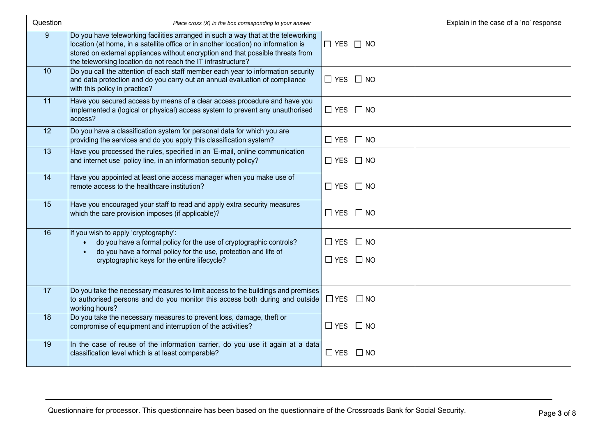| Question        | Place cross (X) in the box corresponding to your answer                                                                                                                                                                                                                                                                    |                                              | Explain in the case of a 'no' response |  |
|-----------------|----------------------------------------------------------------------------------------------------------------------------------------------------------------------------------------------------------------------------------------------------------------------------------------------------------------------------|----------------------------------------------|----------------------------------------|--|
| 9               | Do you have teleworking facilities arranged in such a way that at the teleworking<br>location (at home, in a satellite office or in another location) no information is<br>stored on external appliances without encryption and that possible threats from<br>the teleworking location do not reach the IT infrastructure? | $\Box$ YES $\Box$ NO                         |                                        |  |
| 10              | Do you call the attention of each staff member each year to information security<br>and data protection and do you carry out an annual evaluation of compliance<br>with this policy in practice?                                                                                                                           | $\Box$ YES $\Box$ NO                         |                                        |  |
| 11              | Have you secured access by means of a clear access procedure and have you<br>implemented a (logical or physical) access system to prevent any unauthorised<br>access?                                                                                                                                                      | $\Box$ YES $\Box$ NO                         |                                        |  |
| 12              | Do you have a classification system for personal data for which you are<br>providing the services and do you apply this classification system?                                                                                                                                                                             | $\Box$ YES $\Box$ NO                         |                                        |  |
| $\overline{13}$ | Have you processed the rules, specified in an 'E-mail, online communication<br>and internet use' policy line, in an information security policy?                                                                                                                                                                           | $\Box$ YES $\Box$ NO                         |                                        |  |
| 14              | Have you appointed at least one access manager when you make use of<br>remote access to the healthcare institution?                                                                                                                                                                                                        | $\Box$ YES $\Box$ NO                         |                                        |  |
| 15              | Have you encouraged your staff to read and apply extra security measures<br>which the care provision imposes (if applicable)?                                                                                                                                                                                              | $\Box$ YES $\Box$ NO                         |                                        |  |
| 16              | If you wish to apply 'cryptography':<br>do you have a formal policy for the use of cryptographic controls?<br>do you have a formal policy for the use, protection and life of<br>cryptographic keys for the entire lifecycle?                                                                                              | $\Box$ YES $\Box$ NO<br>$\Box$ YES $\Box$ NO |                                        |  |
|                 |                                                                                                                                                                                                                                                                                                                            |                                              |                                        |  |
| 17              | Do you take the necessary measures to limit access to the buildings and premises<br>to authorised persons and do you monitor this access both during and outside<br>working hours?                                                                                                                                         | $\Box$ YES                                   | $\square$ NO                           |  |
| 18              | Do you take the necessary measures to prevent loss, damage, theft or<br>compromise of equipment and interruption of the activities?                                                                                                                                                                                        |                                              | $\Box$ YES $\Box$ NO                   |  |
| 19              | In the case of reuse of the information carrier, do you use it again at a data<br>classification level which is at least comparable?                                                                                                                                                                                       | $\Box$ YES $\Box$ NO                         |                                        |  |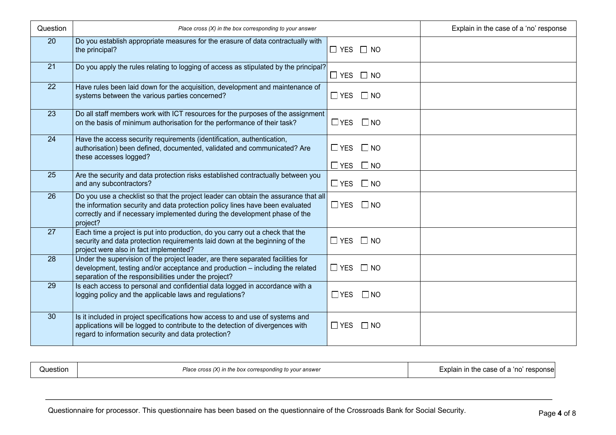| Question | Place cross $(X)$ in the box corresponding to your answer                                                                                                                                                                                                      |                      | Explain in the case of a 'no' response |  |
|----------|----------------------------------------------------------------------------------------------------------------------------------------------------------------------------------------------------------------------------------------------------------------|----------------------|----------------------------------------|--|
| 20       | Do you establish appropriate measures for the erasure of data contractually with<br>the principal?                                                                                                                                                             | $\Box$ YES $\Box$ NO |                                        |  |
| 21       | Do you apply the rules relating to logging of access as stipulated by the principal?                                                                                                                                                                           | $\Box$ YES $\Box$ NO |                                        |  |
| 22       | Have rules been laid down for the acquisition, development and maintenance of<br>systems between the various parties concerned?                                                                                                                                | $\Box$ YES $\Box$ NO |                                        |  |
| 23       | Do all staff members work with ICT resources for the purposes of the assignment<br>on the basis of minimum authorisation for the performance of their task?                                                                                                    | $\Box$ YES           | $\square$ NO                           |  |
| 24       | Have the access security requirements (identification, authentication,<br>authorisation) been defined, documented, validated and communicated? Are<br>these accesses logged?                                                                                   | $\Box$ YES           | $\square$ NO                           |  |
|          |                                                                                                                                                                                                                                                                | $\Box$ YES $\Box$ NO |                                        |  |
| 25       | Are the security and data protection risks established contractually between you<br>and any subcontractors?                                                                                                                                                    | $\Box$ YES           | $\square$ NO                           |  |
| 26       | Do you use a checklist so that the project leader can obtain the assurance that all<br>the information security and data protection policy lines have been evaluated<br>correctly and if necessary implemented during the development phase of the<br>project? | $\Box$ YES           | $\square$ NO                           |  |
| 27       | Each time a project is put into production, do you carry out a check that the<br>security and data protection requirements laid down at the beginning of the<br>project were also in fact implemented?                                                         | $\square$ YES        | $\Box$ NO                              |  |
| 28       | Under the supervision of the project leader, are there separated facilities for<br>development, testing and/or acceptance and production - including the related<br>separation of the responsibilities under the project?                                      | $\Box$ YES           | $\Box$ NO                              |  |
| 29       | Is each access to personal and confidential data logged in accordance with a<br>logging policy and the applicable laws and regulations?                                                                                                                        | $\Box$ YES           | $\square$ NO                           |  |
| 30       | Is it included in project specifications how access to and use of systems and<br>applications will be logged to contribute to the detection of divergences with<br>regard to information security and data protection?                                         | $\Box$ YES           | $\Box$ NO                              |  |

| Question | Place cross $(X)$ in the box corresponding to your answer | Explain in the case of a 'no' response |
|----------|-----------------------------------------------------------|----------------------------------------|
|----------|-----------------------------------------------------------|----------------------------------------|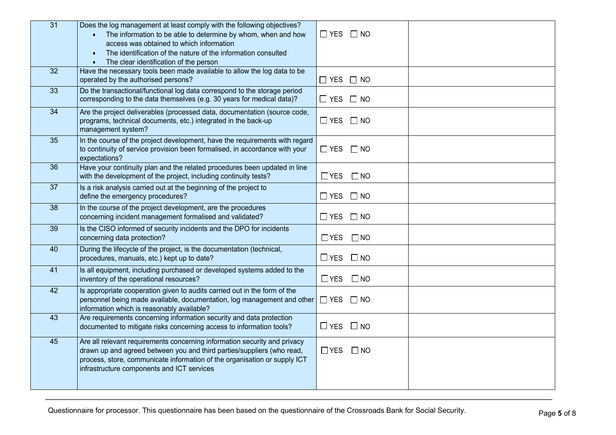| $\overline{31}$ | Does the log management at least comply with the following objectives?<br>The information to be able to determine by whom, when and how<br>access was obtained to which information<br>The identification of the nature of the information consulted<br>The clear identification of the person | $\Box$ YES $\Box$ NO       |
|-----------------|------------------------------------------------------------------------------------------------------------------------------------------------------------------------------------------------------------------------------------------------------------------------------------------------|----------------------------|
| $\overline{32}$ | Have the necessary tools been made available to allow the log data to be<br>operated by the authorised persons?                                                                                                                                                                                | $\Box$ YES $\Box$ NO       |
| 33              | Do the transactional/functional log data correspond to the storage period<br>corresponding to the data themselves (e.g. 30 years for medical data)?                                                                                                                                            | $\Box$ YES $\Box$ NO       |
| $\overline{34}$ | Are the project deliverables (processed data, documentation (source code,<br>programs, technical documents, etc.) integrated in the back-up<br>management system?                                                                                                                              | $\Box$ YES $\Box$ NO       |
| 35              | In the course of the project development, have the requirements with regard<br>to continuity of service provision been formalised, in accordance with your<br>expectations?                                                                                                                    | $\Box$ YES $\Box$ NO       |
| 36              | Have your continuity plan and the related procedures been updated in line<br>with the development of the project, including continuity tests?                                                                                                                                                  | $\Box$ YES<br>$\Box$ NO    |
| $\overline{37}$ | Is a risk analysis carried out at the beginning of the project to<br>define the emergency procedures?                                                                                                                                                                                          | $\Box$ YES $\Box$ NO       |
| $\overline{38}$ | In the course of the project development, are the procedures<br>concerning incident management formalised and validated?                                                                                                                                                                       | $\Box$ YES $\Box$ NO       |
| 39              | Is the CISO informed of security incidents and the DPO for incidents<br>concerning data protection?                                                                                                                                                                                            | $\Box$ YES<br>$\Box$ NO    |
| 40              | During the lifecycle of the project, is the documentation (technical,<br>procedures, manuals, etc.) kept up to date?                                                                                                                                                                           | $\Box$ YES $\Box$ NO       |
| $\overline{41}$ | Is all equipment, including purchased or developed systems added to the<br>inventory of the operational resources?                                                                                                                                                                             | $\square$ NO<br>$\Box$ YES |
| 42              | Is appropriate cooperation given to audits carried out in the form of the<br>personnel being made available, documentation, log management and other<br>information which is reasonably available?                                                                                             | $\Box$ YES $\Box$ NO       |
| 43              | Are requirements concerning information security and data protection<br>documented to mitigate risks concerning access to information tools?                                                                                                                                                   | $\Box$ YES $\Box$ NO       |
| 45              | Are all relevant requirements concerning information security and privacy<br>drawn up and agreed between you and third parties/suppliers (who read,<br>process, store, communicate information of the organisation or supply ICT<br>infrastructure components and ICT services                 | $\Box$ YES $\Box$ NO       |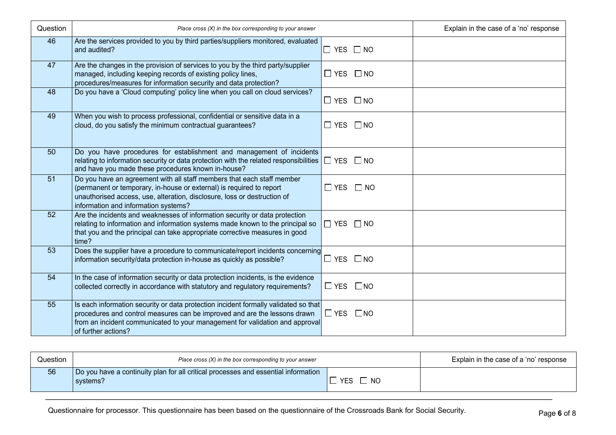| Question | Place cross $(X)$ in the box corresponding to your answer                                                                                                                                                                                                               |                            | Explain in the case of a 'no' response |
|----------|-------------------------------------------------------------------------------------------------------------------------------------------------------------------------------------------------------------------------------------------------------------------------|----------------------------|----------------------------------------|
| 46       | Are the services provided to you by third parties/suppliers monitored, evaluated<br>and audited?                                                                                                                                                                        | $\Box$ YES $\Box$ NO       |                                        |
| 47       | Are the changes in the provision of services to you by the third party/supplier<br>managed, including keeping records of existing policy lines,<br>procedures/measures for information security and data protection?                                                    | $\Box$ YES $\Box$ NO       |                                        |
| 48       | Do you have a 'Cloud computing' policy line when you call on cloud services?                                                                                                                                                                                            | $\Box$ YES $\Box$ NO       |                                        |
| 49       | When you wish to process professional, confidential or sensitive data in a<br>cloud, do you satisfy the minimum contractual guarantees?                                                                                                                                 | $\Box$ YES $\Box$ NO       |                                        |
| 50       | Do you have procedures for establishment and management of incidents<br>relating to information security or data protection with the related responsibilities<br>and have you made these procedures known in-house?                                                     | $\Box$ YES $\Box$ NO       |                                        |
| 51       | Do you have an agreement with all staff members that each staff member<br>(permanent or temporary, in-house or external) is required to report<br>unauthorised access, use, alteration, disclosure, loss or destruction of<br>information and information systems?      | $\square$ YES<br>$\Box$ NO |                                        |
| 52       | Are the incidents and weaknesses of information security or data protection<br>relating to information and information systems made known to the principal so<br>that you and the principal can take appropriate corrective measures in good<br>time?                   | $\Box$ YES $\Box$ NO       |                                        |
| 53       | Does the supplier have a procedure to communicate/report incidents concerning<br>information security/data protection in-house as quickly as possible?                                                                                                                  | $\square$ NO<br>□ YES      |                                        |
| 54       | In the case of information security or data protection incidents, is the evidence<br>collected correctly in accordance with statutory and regulatory requirements?                                                                                                      | $\Box$ YES $\Box$ NO       |                                        |
| 55       | Is each information security or data protection incident formally validated so that<br>procedures and control measures can be improved and are the lessons drawn<br>from an incident communicated to your management for validation and approval<br>of further actions? | $\Box$ YES $\Box$ NO       |                                        |

| Question | Place cross $(X)$ in the box corresponding to your answer                                      |                         | Explain in the case of a 'no' response |
|----------|------------------------------------------------------------------------------------------------|-------------------------|----------------------------------------|
| 56       | Do you have a continuity plan for all critical processes and essential information<br>systems? | <b>YES</b><br><b>NO</b> |                                        |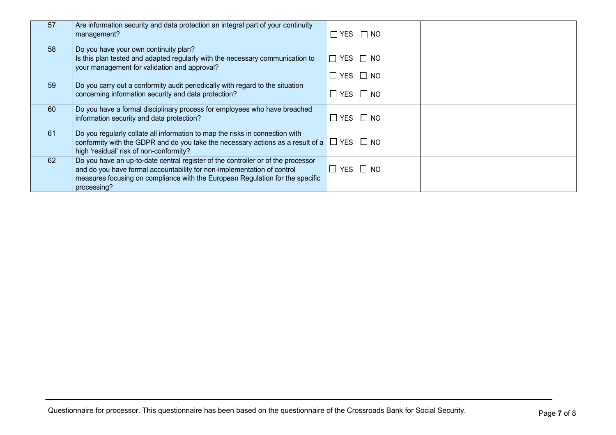| 57 | Are information security and data protection an integral part of your continuity<br>management?                                                                                                                                                             | $\Box$ YES $\Box$ NO                   |  |
|----|-------------------------------------------------------------------------------------------------------------------------------------------------------------------------------------------------------------------------------------------------------------|----------------------------------------|--|
| 58 | Do you have your own continuity plan?<br>Is this plan tested and adapted regularly with the necessary communication to<br>your management for validation and approval?                                                                                      | YES $\Box$ NO<br>$\Box$<br>'□ YES □ NO |  |
| 59 | Do you carry out a conformity audit periodically with regard to the situation<br>concerning information security and data protection?                                                                                                                       | $\Box$ YES $\Box$ NO                   |  |
| 60 | Do you have a formal disciplinary process for employees who have breached<br>information security and data protection?                                                                                                                                      | $\Box$ YES $\Box$ NO                   |  |
| 61 | Do you regularly collate all information to map the risks in connection with<br>conformity with the GDPR and do you take the necessary actions as a result of a<br>high 'residual' risk of non-conformity?                                                  | '□ YES □ NO                            |  |
| 62 | Do you have an up-to-date central register of the controller or of the processor<br>and do you have formal accountability for non-implementation of control<br>measures focusing on compliance with the European Regulation for the specific<br>processing? | $\Box$ YES $\Box$ NO                   |  |